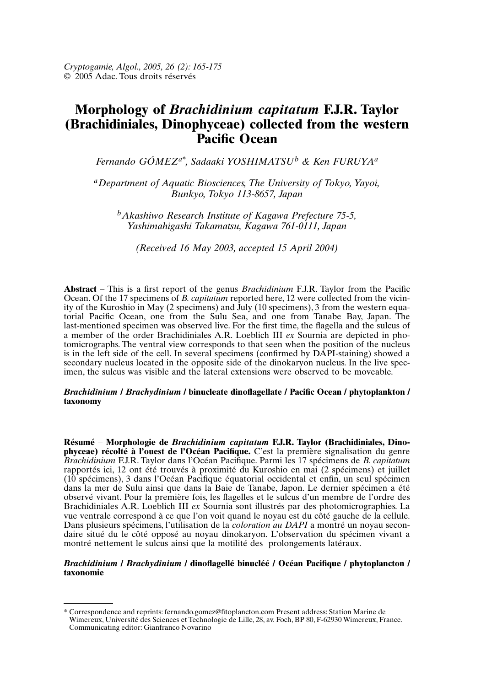# **Morphology of Brachidinium capitatum F.J.R. Taylor** *Fermando Gooderative Gooder*<br>*Ferring Doctor* Ocean *A A Enformances, DIROPHYCEAC CONCICU TIOM THE WE***<br>** *Racific Ocean***<br>** *A**Pernando GÓMEZ<sup>a\*</sup>, Sadaaki YOSHIMATSU<sup>b</sup> & Ken FURUYA<sup>a</sup>***<br>** *A**Pepartment of Aquatic Biosciences. The University of Tokyo, Yayoi,*

*Bunkyo, Tokyo 113-8657,*

*Japane GÓMEZ<sup>a\*</sup>, Sadaaki YOSHIMATSU<sup>b</sup> & Ken FURU*<br>*Artment of Aquatic Biosciences, The University of Tokyo, 1*<br>Bunkvo. Tokyo 113-8657. Japan *Yashimahigashi Takamatsu, Kagawa 761-0111,*

 *Japan* ashiwo Research Institute of Kagawa Prefecture <sup>'</sup>

(Received 16 May 2003, accepted 15 April 2004)

 – This is a first report of the genus *Brachidinium* F.J.R. Taylor from the Pacific of the genus *Brachidinium* F.J.R. Taylor from the Pacific *capitatum* reported here. 12 were collected from the vicin-Abstract  $-$  This is a first report of the genus *Brachidinium*  $FIR$  Taylor from the P acific<br>icin-<br>qua-<br>The Construction of the 17 specimens of  $B$  capitatum reported here. For the flagelected from the vicinlast-mentioned specimen was observed live. For the first time, the flagella and the sulcus of ity of the Kuroshio in May (2 specimens) and July (10 specimens), 3 from the western equatorial Pacific Ocean, one from the Sulu Sea, and one from Tanabe Bay, Japan. The last-mentioned specimen was observed live. For the f torial Pacific Ocean, one from the Sulu Sea, and one from Tanabe Bay, Japan. The is interested to the substitution of the lateral extension of the lateral extension of the nucleus to that seen when the position of the nucleus is in the left side of the cell. In several specimens (confirmed by DAPI-staining) showed a a member of the order Brachidiniales A.R. Loeblich III  $ex$  Sournia are depicted in phosecondary nucleus located in the opposite side of the dinokaryon nucleus. In the live spec-**Brachy and the subset of the dinokaryon nucleus. In the live spec-<br>
<b>Brachydinium** / binucleate dinoflagellate / Pacific Ocean / phytoplankton / **imen**, the **s** 

## taxonomy

 – **Morphologie de** *Brachidinium capitatum* **F.J.R. Taylor (Brachidiniales, Dino**entum **F.J.R. Taylor (Brachidiniales, Dino-**<br>C'est la première signalisation du genre **orphologie de** *Brachidinium capitatum* **F.J.R. Taylor (Brachidiniales, Dino-<br>Dité à l'ouest de l'Océan Pacifique. C'est la première signalisation du genre<br>F.J.R. Taylor dans l'Océan Pacifique. Parmi les 17 spécimens de** *B.* Résumé – Mornhologie de *Brachidinium canitatum* F.J.R. Taylor (Brachidiniales, Dinorapportés ici, 12 ont été trouvés à proximité du Kuroshio en mai (2 spécimens) et juillet phyceae) récolté à l'ouest de l'Océan Pacifique. C'est la première signalisation du genre Brachidinium F.J.R. Taylor dans l'Océan Pacifique. Parmi les 17 spécimens de B. capitatum vue ventrale contra la correspondence correspondente du correspondence dans la mer de Sulu ainsi que dans la Baie de Tanabe, Japon. Le dernier spécimen a été 2 ont été trouvés à proximité du Kuroshio en mai (2 spécimens) et juillet<br>3 dans l'Océan Pacifique équatorial occidental et enfin, un seul spécimen<br>8 Sulu ainsi que dans la Baie de Tanabe, Japon. Le dernier spécimen a été<br> (10 spécimens), 3 dans l'Océan Pacifique équatorial occidental et enfin, un seul spécimen<br>dans la mer de Sulu ainsi que dans la Baie de Tanabe, Japon. Le dernier spécimen a été<br>observé vivant. Pour la première fois, les fl montré de la montré de la montré de la montré de la montré de la montré de la montré de la cellule. observé vivant. Pour la première fois, les flagelles et le sulcus d'un membre de l'ordre des<br>Brachidiniales A.R. Loeblich III *ex* Sournia sont illustrés par des photomicrographies. La<br>vue ventrale correspond à ce que l'on Brachidiniales A.R. Loeblich III ex Sournia sont illustrés par des photomicrographies. La<br>vue ventrale correspond à ce que l'on voit quand le noyau est du côté gauche de la cellule.<br>Dans plusieurs spécimens, l'utilisation montré nettement le sulcus ainsi que la motilité des prolongements latéraux. daire situé du le côté opposé au noyau dinokaryon. L'observation du spécimen vivant a<br>montré nettement le sulcus ainsi que la motilité des prolongements latéraux.<br>Brachidinium / Brachydinium / dinoflagellé binucléé / Océan

# taxonomie

Communicating editor: Gianfranco Novarino

<sup>\*</sup> Correspondence and reprints: fernando.gomez@fitoplancton.com Present address: Station Marine de Wimereux, Université des Sciences et Technologie de Lille, 28, av. Foch, BP 80, F-62930 Wimereux, France. Communicating editor: Gianfranco Novarino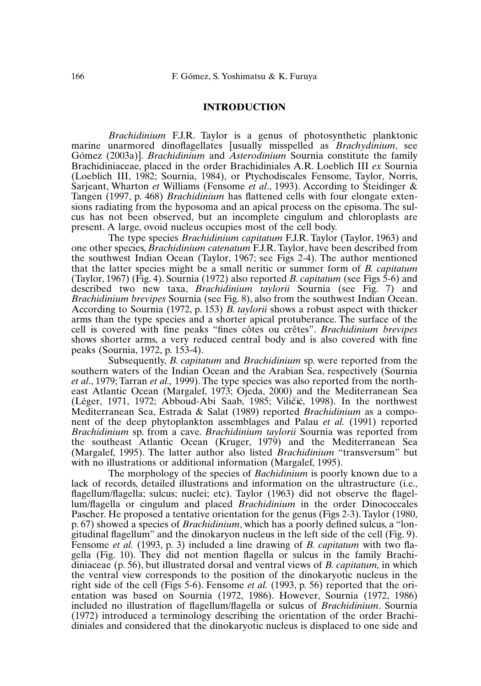### marine unarmored dinoflagellates [usually misspelled as *Brachydinium*, see

**F.J.R. INTRODUCTION**<br>Brachidinium F.J.R. Taylor is a genus of photosynthetic planktonic *FIR.* Taylor is a genus of photosynthetic planktonic ed dinoflagellates [usually misspelled as *Brachydinium*, see *Brachidinium* and *Asterodinium* Sournia constitute the family anktonic<br> *ium*, see<br>
e family<br>
Sournia examinative Taylor, is a genus of processmatch planneling<br>marine unarmored dinoflagellates fusually missnelled as *Brachydinium*, see sions radiations radiations radiations radiations in the extension of the episome. Taylor, Norris, Gómez (2003a)]. *Brachidinium* and *Asterodinium* Sournia constitute the family Brachidiniaceae, placed in the order Brachidiniales A.R. Loeblich III *ex* Sournia (Loeblich III, 1982; Sournia, 1984), or Ptychodiscales Fens Brachidiniaceae, placed in the order Brachidiniales A.R. Loeblich III ex Sournia placed in the order Brachidiniales A.R. Loeblich III *ex* Sournia<br>1982; Sournia, 1984), or Ptychodiscales Fensome, Taylor, Norris,<br>rton *et* Williams (Fensome *et al.*, 1993). According to Steidinger &<br>p. 468) *Brachidiniu* %<br>Norris,<br>dinger &<br>te exten-<br>The sulcus formed and the section of Williams (Fensome *et al.* 1993). According to Steidinger  $\&$ cus has not been observed, but an incomplete cingulum and chloroplasts are Tangen (1997, p. 468) *Brachidinium* has flattened cells with four elongate extenpresent. A large, ovoid nucleus occupies most of the cell body. The type species *Brachidinium capitatum* F.J.R. Taylor (Taylor, 1963) and the type species *Brachidinium capitatum* F.J.R. Taylor, 1963) and *Brachidinium catenatum* F.J.R. Taylor (Taylor, 1963) and *Brachidinium catenatum* F.J.R. Taylor (Taylor, 1963) and *Brachidinium catenatum* F.J.R. Taylor, have been described from

body.<br>
aylor (Taylor, 1963) and<br>
we been described from<br>
The author mentioned The type species *Brachidinium capitatum* F.J.R. Taylor (Taylor, 1963) and<br>one other species, *Brachidinium catenatum* F.J.R. Taylor, have been described from<br>the southwest Indian Ocean (Taylor, 1967; see Figs 2-4). The au one other species, *Brachidinium catenatum* F.J.R. Taylor, have been described from *capitatum*<br>*capitatum* (see Figs 5-6) and<br>*capitatum* (see Figs 5-6) and the southwest Indian Ocean (Taylor, 1967; see Figs 2-4). The author mentioned *Brachidinium 1967*; see Figs. 2-4). The author mentioned<br>to be a small neritic or summer form of *B. capitatum*<br>nia (1972) also reported *B. capitatum* (see Figs. 5-6) and<br>*Brachidinium taylorii* Sournia (see Fig. 7) and *Brachidinium brevines* Sournia (1972), 1976; 1987 and the latter species might be a small neritic or summer form of *B. capitatum* (Taylor, 1967) (Fig. 4). Sournia (1972) also reported *B. capitatum* (see Figs 5-6) and de (Taylor, 1967) (Fig. 4). Sournia (1972) also reported *B. capitatum* (see Figs 5-6) and ia (1972) also reported *B. capitatum* (see Figs 5-6) and *Brachidinium taylorii* Sournia (see Fig. 7) and in (see Fig. 8), also from the southwest Indian Ocean. p. 153) *B. taylorii* shows a robust aspect with thicker described two new taxa, *Brachidinium taylorii* Sournia (see Fig. 7) and *Brachidinium brevipes* Sournia (see Fig. 8), also from the southwest Indian Ocean. According to Sournia (1972, p. 153) *B. taylorii* shows a robust *Brachidinium brevipes* Sournia (see Fig. 8), also from the southwest Indian Ocean.<br>According to Sournia (1972, p. 153) *B. taylorii* shows a robust aspect with thicker<br>arms than the type species and a shorter apical protu According to Sournia (1972, p. 153) B. taylorii shows a robust aspect with thicker shows shorter arms, a very reduced central body and is also covered with fine arms than the type species and a shorter apical protuberance. The surface of the becies and<br>fine peak<br>a very red<br>p.  $153-4$ ). by severed with fine peaks "fines côtes ou crêtes". *Brachidinium brevipes* orter arms, a very reduced central body and is also covered with fine ournia, 1972, p. 153-4).<br>Subsequently, *B. capitatum* and *Brachidinium* sp. peaks (Sournia, 1972, p. 153-4).

Southern waters of the Indian Ocean and the Arabian Sea, respectively (Sournia Irnia, 1972, p. 153-4).<br>Ibsequently, *B. capitatum* and *Brachidinium* sp. were reported from the<br>vaters of the Indian Ocean and the Arabian Sea, respectively (Sournia<br>Tarran *et al.*, 1999). The type species was also repo East Atlantic Component Community  $R$  capitatum and Brachidinium sp were reported from the Arabian Sea, respectively (Sournia<br>
was also reported from the north-<br>
2000) and the Mediterranean Sea<br>
Viličić. 1998). In the northwest et al., 1979; Tarran et al., 1999). The type species was also reported from the northom the north-<br>erranean Sea<br>he northwest<br>as a compoet an, 1979, tartain of an, 1999, the offer operate was also reported<br>east Atlantic Ocean (Margalef, 1973; Ojeda, 2000) and the M editerranean Sea<br>n the northwest<br>*ium* as a compo-<br>(1991) reported (Léger, 1971, 1972; Abboud-Abi Saab, 1985; Viličić, 1998). In the northwest<br>Mediterranean Sea, Estrada & Salat (1989) reported *Brachidinium* as a compo-<br>nent of the deep phytoplankton assemblages and Palau *et al.* (1991) Mediterranean Sea, Estrada & Salat (1989) reported *Brachidinium* as a component of the deep phytoplankton assemblages and Palau *et al.* (1991) reported The latter author assemblages and Palau *et al.* (1991) reported<br>from a cave. *Brachidinium taylorii* Sournia was reported from<br>tlantic Ocean (Kruger, 1979) and the Mediterranean Sea<br>The latter author also listed *Brachidi Brachidinium* sp. from a cave. *Brachidinium taylorii* Sournia was reported from with no illustrations or additional information (Margalef, 1995). the morphology of the species of *Bachidinium* is morphology. The latter author also listed *Brachidinium* "transversum" but illustrations or additional information (Margalef, 1995). The morphology of the species of *Bachi* (Margalef, 1995). The latter author also listed *Brachidinium* "transversum" but

Formation (Margalef, 1995).<br>
Ses of *Bachidinium* is poorly known due to a<br>
and information on the ultrastructure (i.e.,<br>
Taylor (1963) did not observe the flagel-The morphology of the species of *Bachidinii um* is poorly known due to a<br>n on the ultrastructure (i.e.,<br>did not observe the flagel-<br>in the order Dinococcales Pack of records, detailed illustrations and information on the ultrastructure (i.e., p. 67) showed a species of *Brachidinium*, which has a poorly defined sulcus, a "lon-<br>p. 67) showed a species of *Brachidinium*, which has a poorly defined sulcus, a "lon-<br>p. 67) showed a species of *Brachidinium*, which h lum/flagella or cingulum and placed *Brachidinium* in the order Dinococcales Pascher. He proposed a tentative orientation for the genus (Figs 2-3). Taylor (1980, oposed a tentative orientation for the genus (Figs 2-3). Taylor (1980, a species of *Brachidinium*, which has a poorly defined sulcus, a "lon-<br>lum" and the dinokaryon nucleus in the left side of the cell (Fig. 9).<br>(1993, p Species of *Brachidinium*, which has a poorly defined sulcus, a "lon-<br>um" and the dinokaryon nucleus in the left side of the cell (Fig. 9).<br>(1993, p. 3) included a line drawing of *B. capitatum* with two fla-<br>They did not p. 67) showed a species of *Brachidinium*, which has a poorly defined sulcus, a "longitudinal flagellum" and the dinokaryon nucleus in the left side of the cell (Fig. 9).<br>Fensome *et al.* (1993, p. 3) included a line drawing of *B. capitatum* with two flagella (Fig. 10). They did not mention flagella or s Fensome *et al.* (1993, p. 3) included a line drawing of *B. capitatum* with two fla-Fenson and *Election* of the *et al.* (1993, p. 56) reported that the ori-<br>Fensone *et al.* (1993, p. 56) reported that the origella (Fig. 10). They did not mention flagella or sulcus in the family Brachiend  $(1.5, 18)$ . They are not member higher of server in the ranny Britain diverse (n 56), but illustrated dorsal and ventral views of B capitatum in which interesting the ventral view corresponds to the position of the dinokaryotic nucleus in the right side of the cell (Figs 5-6). Fensome *et al.* (1993, p. 56) reported that the oridiniales and considered that the dinokaryotic nucleus is displaced to the dinokaryotic nucleus is displaced to one Sournia (1972, 1986) included no illustration of flagellum/flagella or sulcus of *Brachidinium*. Sournia (1972) introduced a terminology describing the orientation of the order Brachidiniales and considered that the dinokaryotic nucleus is displaced to one side and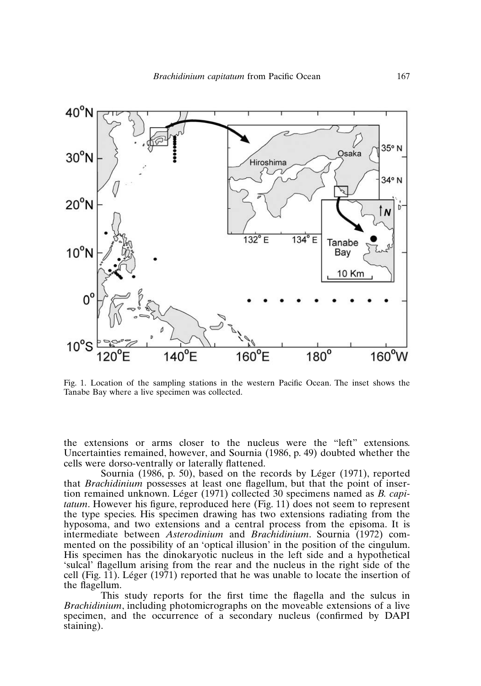

Tanabe Bay where a live specimen was collected.

Fig. 2.49) doubted whether the  $\frac{49}{3}$  doubted whether the the remainder communical, now over, and sourmal (1988, p. 19) as as well when<br>cells were dorso-ventrally or laterally flattened. nsions or arm ns closer to the nucleus were the "left" extensions.<br>
between, and Sournia (1986, p. 49) doubted whether the<br>
ly or laterally flattened.<br>
p. 50), based on the records by Léger (1971), reported Incertainties remained, however, and Sournia (1986, p. 49) doubted whether the<br>cells were dorso-ventrally or laterally flattened.<br>Sournia (1986, p. 50), based on the records by Léger (1971), reported<br>that *Brachidinium* po

orted<br>inser-<br>*capi***tatum tatum tatum tatum s however here here here here here h h s h s h s h s h s h s h s h s h s h s h s h s h s h s h s h s h s** tatum. However his figure, reproduced here (Fig. 11) does not seem to represent that *Brachidinium* possesses at least one flagellum, but that the point of insertion remained unknown. Léger (1971) collected 30 specimens named as *B. capi*hyposoma, and two extensions and a central process from the episoma. It is d here (Fig. 11) does not seem to represent<br>ing has two extensions radiating from the<br>a central process from the episoma. It is<br>and *Brachidinium*. Sournia (1972) com $m_{min}$  reduced the ngare, represenced nere  $\langle x, y, z \rangle$  assessed to the present mented on the possibility of an 'optical illusion' in the position of the cingulum.<br>His specimen has the dinokaryotic nucleus in the left side and a hypothetical<br>'sulcal' flagellum arising from the rear and the nucleus in His specimen has the dinokaryotic nucleus in the left side and a hypothetical intermediate between *Asterodinium* and *Brachidinium*. Sournia (1972) com-This state dimension reports for the first time that a hyperbolism *Brachimianization including from the real and the movement in the right state of the*<br>cell (Fig. 11). Léger (1971) reported that he was unable to locate the insertion of  $s_{\text{max}}$  (1,  $s_{\text{max}}$  (1,  $s_{\text{max}}$  ) reported that he was undere to recate the miscrition of

and magement.<br>This This study reports for the first time the flagella and the sulcus in *Brachidinium*, including photomicrographs on the moveable extensions of a live specimen, and the occurrence of a secondary nucleus (confirmed by DAPI staining).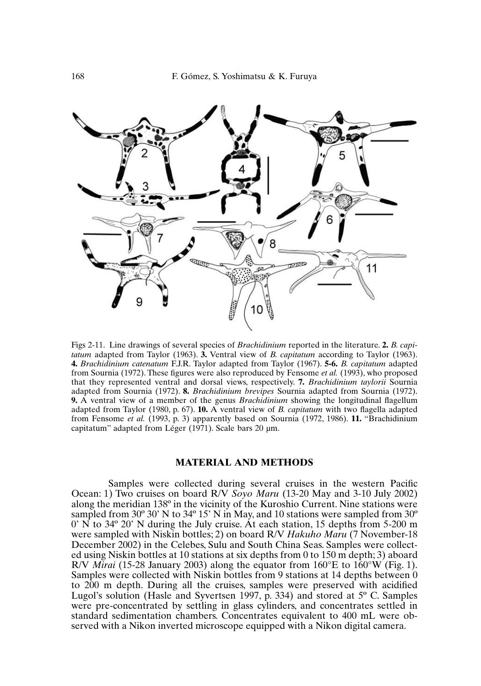

*Brachidinium catenatums* of several species of *Brachidinium* reported in the literature. 2. *B. capitum* adapted from Taylor (1963). **3.** Ventral view of *B. capitatum* according to Taylor (1963). *Brachidinium catenatum* Figs 2-11. Line drawings of several species of *Brachidinium* reported in the literature. 2. *B. capitatum* adapted from Taylor (1963). 3. Ventral view of *B. capitatum* according to Taylor (1963). 4. *Brachidinium catenat* tatum adapted from Taylor (1963). **3.** Ventral view of *B. capitatum* according to Taylor (1963).<br>**4.** *Brachidinium catenatum* F.J.R. Taylor adapted from Taylor (1967). **5-6.** *B. capitatum* adapted from Sournia (1972). T 4. Brachidinium catenatum F.J.R. Taylor adapted from Taylor (1967). 5-6. B. capitatum adapted **1. Propies** A. **Brachidinium brevipes** C. **8. B.** *B. agitatum* adapted ures were also reproduced by Fensome *et al.* (1993), who proposed and dorsal views, respectively. **7.** *Brachidinium taylorii* Sournia **8.** *Bra* from Sournia (1972). These figures were also reproduced by Fensome *et al.* (1993), who proposed om Sournia (1972). These figures were also reproduced by Fensome *et al.* (1993), who proposed at they represented ventral and dorsal views, respectively. **7.** *Brachidinium taylorii* Sournia dapted from Sournia (1972). **8** that they represented vent ral and dorsal views, respectively. **7.** *Brachidinium taylorii* Sournia 2). **8.** *Brachidinium brevipes* Sournia adapted from Sournia (1972). There of the genus *Brachidinium* showing the longitudinal flagellum p. 67). **1** adapted from Sournia (1972). **8.** *Brachidinium brevipes* Sournia adapted from Sournia (1972). ia (1972). **8.** *Brachidinium brevipes* Sournia adapted from Sournia (1972). <br>
<sup>2</sup> a member of the genus *Brachidinium* showing the longitudinal flagellum<br>
(1980, p. 67). **10.** A ventral view of *B. capitatum* with two fla **9.** A ventral view of a member of the genus *Brachidinii*. ger (1971). Scale bars 20 μm.

#### **MATERIAL AND METHODS** along the meridian 138º in the vicinity of the Kuroshio Current. Nine stations were

*S* **AND METHODS**<br> *Soyo Maru* (13-20 May and 3-10 July 2002) Samples were collected during several cruises in the western Pacific Ocean: 1) Two cruises on board R/V  $Sov\phi$  Maru (13-20 May and 3-10 July 2002) along the meridian 138° in the vicinity of the Kuroshio Current. Nine stations were<br>sampled from 30° 30' N to 34° 15' N in May, and 10 stations were sampled from 30°<br>0' N to 34° 20' N during the July cruise. At each statio sampled from  $30^{\circ}$  30' N to  $34^{\circ}$  15' N in May, and 10 stations were sampled from  $30^{\circ}$  $\alpha$  N is 34 $\degree$  20' N during the July cruise. At each station, 15 depths from 5-200 m depths  $\alpha$  150 m about  $\alpha$ were sampled with Niskin bottles; 2) on board R/V *Hakuho Maru* (7 November-18<br>December 2002) in the Celebes, Sulu and South China Seas. Samples were collect-<br>ed using Niskin bottles at 10 stations at six depths from 0 to December 2002) in the Celebes, Sulu and South China Seas. Samples were collectto 200 m depth. During all the cruises, same all the countries were preserved using Niskin bottles at 10 stations at six depths from 0 to 150 m depth; 3) aboard quator from  $160^{\circ}$ E to  $160^{\circ}$ W (Fig. 1).<br>
om 9 stations at 14 depths between 0<br>
mples were preserved with acidified<br>
p. 334) and stored at 5° C. Samples R/V *Mirai* (15-28 January 2003) along the equator from  $160^{\circ}$ E to  $160^{\circ}$ W (Fig. 1). Samples were collected with Niskin bottles from 9 stations at 14 depths between 0 standard sensor concentration changes from the set of the concentration concentration concentration of 400 mL were observed with acidified Lugol's solution (Hasle and Syvertsen 1997, p. 334) and stored at  $5^{\circ}$  C. Samples were pre-concentrated by settling in glass cylinders, and concentrates settled in standard sedimentation chambers. Concentrates equivalent to 400 mL were observed with a Nikon inverted microscope equipped with a Nikon digital camera.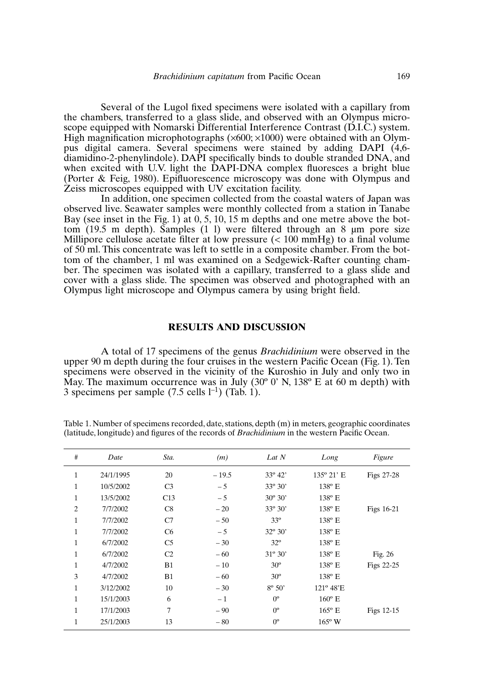Several of the Lugol fixed specimens were isolated with a capillary from diamidino-2-phenylindole). DAPI specifically binds to double stranded DNA, and<br>diamidino-2-phenylindole). DAPI specifically binds to double stranded DNA, and<br>diamidino-2-phenylindole). DAPI specifically binds to double str cimens were isolated with a capillary from<br>de, and observed with an Olympus micro-<br>trial Interference Contrast (D.I.C.) system.<br> $\times 600 \times 1000$ ) were obtained with an Olympulled were several of the Euger linear specimens were soluted with a capitally from (Poss), 1980). We column with an expiritual material microscopy were established with an expiritual pus digital camera. Several specimens were stained by adding DAPI (4,6-High magnification microphotographs  $(x600; x1000)$  were obtained with an Olymholographs  $(\times 600; \times 1000)$  were obtained with an Olym-<br>veral specimens were stained by adding DAPI (4,6-<br>le). DAPI specifically binds to double stranded DNA, and<br>light the DAPI-DNA complex fluoresces a bright blue observed with stationary and stationary complements were experienced from a stationary (Porter & Feig, 1980). Epifluorescence microscopy was done with Olympus and Fee digital connected several specifically binds to dependent  $\Xi$  and  $\Xi$  is the Fig. 1988). Explored with UV excitation facility. when excited with U.V. light the DAPI-DNA complex fluoresces a bright blue

the interestigles equipped with  $\epsilon$ . Samples (19.5 m and 8 km).<br>In addition, one specimen collected from the coastal waters of Japan was ped with UV excitation facility.<br>
specimen collected from the coastal waters of Japan was<br>
samples were monthly collected from a station in Tanabe<br>
1) at 0, 5, 10, 15 m denths and one metre above the bottom  $(19.5 \text{ m depth})$ . Samples  $(1 \text{ l})$  were filtered through an 8 µm pore size milliport cellulose acceter and the cellular material in the control of the control of the control of the control of the control of the control of the control of the control of the control of the control of the control of bein. The specific samples  $(1, 1)$  were interested in eight and  $\epsilon$  functions since  $\ell$  and  $\epsilon$  and  $\epsilon$  and  $\epsilon$  and  $\epsilon$  and  $\epsilon$  and  $\epsilon$  and  $\epsilon$  and  $\epsilon$  and  $\epsilon$  and  $\epsilon$  and  $\epsilon$  and  $\epsilon$  and  $\epsilon$  and  $\epsilon$  and Bay (see inset in the Fig. 1) at  $0, 5, 10, 15$  m depths and one metre above the botber. The specimen was isolated with a capillary, transferred to a glass slide and of 50 ml. This concentrate was left to settle in a composite chamber. From the botcover with a glass slide. The specimen was observed and photographed with an tom of the chamber, 1 ml was examined on a Sedgewick-Rafter counting cham- $\alpha$  and Orympus callicra by using bright field.

#### A total of 17 specimens of the genus *Brachidinium*RESULTS AND DISCUSSION

**RESULTS AND DISCUSSION**<br>A total of 17 specimens of the genus *Brachidinium* were observed in the specimens were observed in the vicinity of the Kuroshio in July and only two in *Unium* were observed in the<br>
in Pacific Ocean (Fig. 1). Ten<br>
shio in July and only two in<br>
138<sup>°</sup> E at 60 m depth) with 3 specimens per sample (7.5 cells l–1) (Tab. 1).S specimens per sample ( $1.5$  cens  $1.5$ ) (Tab. 1).

| (latitude, longitude) and figures of the records of <i>Brachidinium</i> in the western Pacific Ocean. |           |                |         |                  |                     |            |
|-------------------------------------------------------------------------------------------------------|-----------|----------------|---------|------------------|---------------------|------------|
| $\#$                                                                                                  | Date      | Sta.           | (m)     | Lat N            | Long                | Figure     |
| 1                                                                                                     | 24/1/1995 | 20             | $-19.5$ | $33^{\circ} 42'$ | $135^{\circ} 21' E$ | Figs 27-28 |
| 1                                                                                                     | 10/5/2002 | C <sub>3</sub> | $-5$    | $33^{\circ} 30'$ | $138^{\circ}$ E     |            |
| $\mathbf{1}$                                                                                          | 13/5/2002 | C13            | $-5$    | $30^{\circ} 30'$ | $138^{\circ}$ E     |            |
| $\overline{2}$                                                                                        | 7/7/2002  | C8             | $-20$   | $33^{\circ} 30'$ | $138^{\circ}$ E     | Figs 16-21 |
| 1                                                                                                     | 7/7/2002  | C7             | $-50$   | $33^{\circ}$     | 138° E              |            |
| $\mathbf{1}$                                                                                          | 7/7/2002  | C <sub>6</sub> | $-5$    | $32^{\circ} 30'$ | 138° E              |            |
| $\mathbf{1}$                                                                                          | 6/7/2002  | C <sub>5</sub> | $-30$   | $32^{\circ}$     | $138^{\circ}$ E     |            |
| $\mathbf{1}$                                                                                          | 6/7/2002  | C <sub>2</sub> | $-60$   | $31^{\circ} 30'$ | $138^{\circ}$ E     | Fig. $26$  |
| 1                                                                                                     | 4/7/2002  | B1             | $-10$   | $30^\circ$       | $138^{\circ}$ E     | Figs 22-25 |
| 3                                                                                                     | 4/7/2002  | B1             | $-60$   | $30^{\circ}$     | $138^{\circ}$ E     |            |
| 1                                                                                                     | 3/12/2002 | 10             | $-30$   | $8^{\circ} 50'$  | $121^{\circ}$ 48'E  |            |
| 1                                                                                                     | 15/1/2003 | 6              | $-1$    | $0^{\circ}$      | $160^{\circ}$ E     |            |
| $\mathbf{1}$                                                                                          | 17/1/2003 | 7              | $-90$   | $0^{\circ}$      | $165^{\circ}$ E     | Figs 12-15 |
| 1                                                                                                     | 25/1/2003 | 13             | $-80$   | $0^{\circ}$      | $165^{\circ}$ W     |            |

**i**) in meters, geographic coord<br>in the western Pacific Ocean.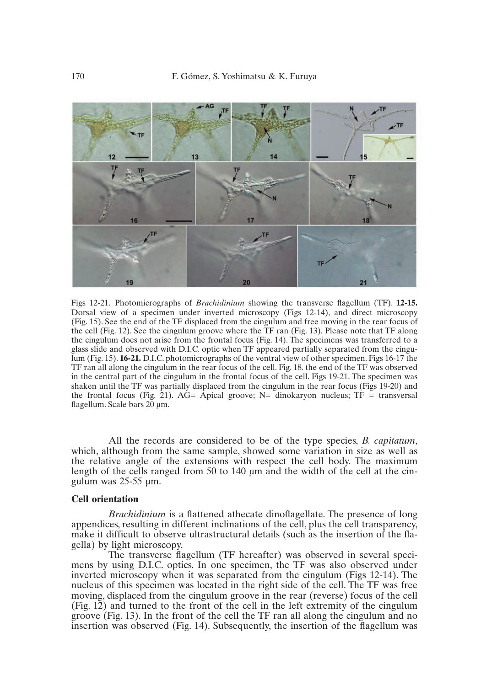

flagellum. Scale bars 20 µm. Dorsal view of a specimen under inverted microscopy (Figs 12-14), and direct microscopy the cell (Fig. 12). See the cingulum groove where the  $TF \, ran$  (Fig. 13). Please note that TF along Figs 12-14), and direct microscopy<br>and free moving in the rear focus of<br>(Fig. 13). Please note that TF along<br>The specimens was transferred to a (Fig. 15). See the end of the TF displaced from the cingulum and free moving in the rear focus of 12). See the cingulum groove where the TF ran (Fig. 13). Please note that TF along does not arise from the frontal focus (Fig. 14). The specimens was transferred to a d observed with D.I.C. optic when TF appeared partially the cingulum does not arise from the frontal focus (Fig. 14). The specimens was transferred to a 4). The specimens was transferred to a<br>red partially separated from the cingu-<br>l view of other specimen. Figs 16-17 the<br>Fig. 18. the end of the TF was observed glass slide and observed with D.I.C. optic when TF appeared partially separated from the cingu-<br>lum (Fig. 15). **16-21.** D.I.C. photomicrographs of the ventral view of other specimen. Figs 16-17 the<br>TF ran all along the cin lum (Fig. 15). 16-21. D.I.C. photomicrographs of the ventral view of other specimen. Figs 16-17 the shaken until the TF was partially displaced from the cingulum in the rear focus (Figs 19-20) and TF ran all along the cingulum in the rear focus of the cell. Fig. 18, the end of the TF was observed In in the rear focus of the cell. Fig. 18. the end of the TF was observed<br>gulum in the frontal focus of the cell. Figs 19-21. The specimen was<br>ially displaced from the cingulum in the rear focus (Figs 19-20) and<br> $AG=$  Apic in the central part of the ci

*B. B. B. B. cale bars 20 μm.*<br> *All the records are considered to be of the type species. <i>B. capitatum*. which, although from the same sample, showed some variation in size as well as the relative angle of the extensions with respect the cell body. The maximum length of the cells ranged from 50 to 140  $\mu$ m and the width of the cell at the cingulum was 25-55 um. gulum was 25-55  $\mu$ m.<br> **Cell orientation**<br> *Brachidinium* is a flattened athecate dinoflagellate. The presence of long appendices, resulting in different inclinations of the cell, plus the cell, plus the cell, plus the cell, plus<br>plus the cell, plus the cell, plus the cell, plus the cell, plus the cell, plus the cell, plus the cell, plus

#### make it differentiation to observe ultrastructural details (such as the insertion of the insertion of the fla-

The transmitted in the transverse flaggering in the transparency, the specific in several specific in several specific specific specific specific specific specific specific specific specific specific specific specific spec in the microscopy.<br>gella) by light microscopy. make it difficult to observe ultrastructural details (such as the insertion of the fla-

mens by using D.I.C. optics. In one specimen, the TF was also observed under , m<br>peci-<br>The The transverse flagellum (TF hereafter) was observed in several speci-<br>mens by using D.I.C. optics. In one specimen, the TF was also observed under<br>inverted microscopy when it was separated from the cingulum (Figs 12-14). moving, displaced from the cingulum groove in the rear (reverse) focus of the cell inverted microscopy when it was separated from the cingulum (Figs 12-14). The (Fig. 12) and turned to the front of the cell in the left extremity of the cingulum nucleus of this specimen was located in the right side of the cell. The TF was free groove (Fig. 13). In the front of the cell the TF ran all along the cingulum and no insertion was observed (Fig. 14). Subsequently, the insertion of the flagellum was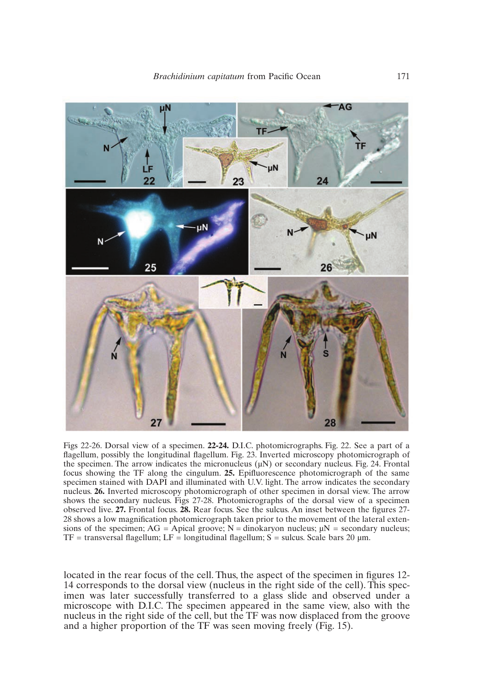

The arrow of a specimen. **22-24.** D.I.C. photomicrographs. Fig. 22. See a part of a sibly the longitudinal flagellum. Fig. 23. Inverted microscopy photomicrograph of The arrow indicates the micronucleus (uN) or secondary n Figs 22-26. Dorsal view of a specimen. **22-24.** D.I.C. photomicrographs. Fig. 22. See a part of a flagellum, possibly the longitudinal flagellum. Fig. 23. Inverted microscopy photomicrograph of the specimen. The arrow indi flagellum, possibly the longitudinal flagellum. Fig. 23. Inverted microscopy photomicrograph of nverted microscopy photomicrograph of<br>N) or secondary nucleus. Fig. 24. Frontal<br>prescence photomicrograph of the same<br>light. The arrow indicates the secondary the specimen. The arrow indicates the micronucleus  $(\mu N)$  or secondary nucleus. Fig. 24. Frontal Example 1. The arrow indicates the micronucleus  $(\mu N)$  or secondary nucleus. Fig. 24. Frontal invertigation measured with DAPI and illuminated with U.V. light. The arrow indicates the secondary **26.** Inverted microscopy p focus showing the TF along the cingulum. 25. Epifluorescence photomicrograph of the same shows the secondary nucleus. Figs 27-28. Photomicrographs of the dorsal view of a specimen specimen stained with DAPI and illuminated with U.V. light. The arrow indicates the secondary **27.** Frontal focus. **28.** Rear focus. See the sulcus. An inset between the figures 27-<br>**27.** Frontal focus. **28.** Rear focus. See the sulcus. An inset between the figures 27-<br>**27.** Frontal focus. **28.** Rear focus. See the nucleus. 26. Inverted microscopy photomicrograph of other specimen in dorsal view. The arrow nucleus. Figs 27-28. Photomicrographs of the dorsal view of a specimental focus. **28.** Rear focus. See the sulcus. An inset between the figures 27-<br>cation photomicrograph taken prior to the movement of the lateral exten-<br> observed live.  $27$ . Frontal focus.  $28$ . Rear focus. See the sulcus. An inset between the  $I\Gamma$  = transversal hagement,  $L\Gamma$  = iongitudinal hagement,  $S$  = suicus. Scale bars  $Z\upsilon$   $\mu$ m.

Thus, the aspect of the specimen in figures  $12$ -<br>Thus, the aspect of the specimen in figures  $12$ figures 12-<br>This speclocated in the rear focus of the cell. Thus the aspect of the specimen in figures 12-14 corresponds to the dorsal view (nucleus in the right side of the cell). This specand a higher proportion of the Termin control of the TF was later successfully transferred to a glass slide and observed under a microscope with D.I.C. The specimen appeared in the same view, also with the nucleus in the right side of the cell, but the TF was now displaced from the groove and a higher proportion of the TF was seen moving freely (Fig. 15).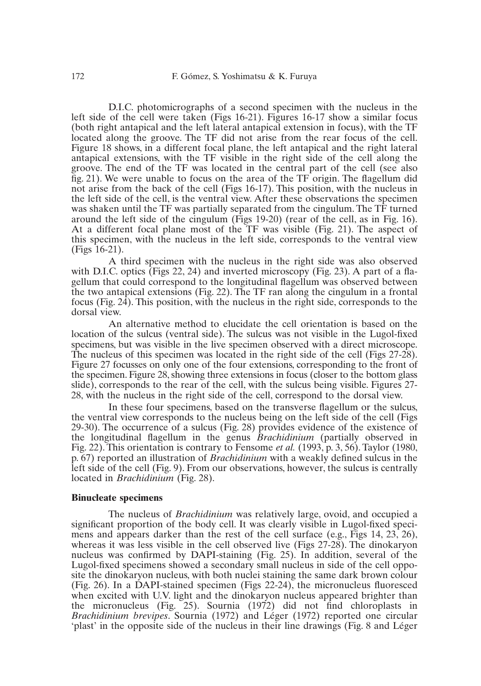$\alpha$  specimen with the nucleus in the Figures 16-17 show a similar focus (both right antapical and the left lateral antapical extension in focus), with the  $TF$  $\overline{D}$  I.C. photomicrographs of a second specimen with the nucleus in the located along the groove. The TF did not arise from the rear focus of the cell. left side of the cell were taken (Figs  $16-21$ ). Figures 16-17 show a similar focus Figure 18 shows, in a different focal plane, the left antapical and the right lateral<br>antapical extensions, with the TF visible in the right side of the cell along the<br>groove. The end of the TF was located in the central p not arise from the back of the TF visible in the right side of the cell along the groove. The end of the TF was located in the central part of the cell (see also fig. 21). We were unable to focus on the area of the TF orig the left side of the cell (see also groove. The end of the TF was located in the central part of the cell (see also the left side of the cell, is the ventral view. After these observations the specimen fig. 21). We were unable to focus on the area of the TF origin. The flagellum did not arise from the back of the cell (Figs  $16-17$ ). This position, with the nucleus in us in<br>men<br>rned<br>16). the speciment<br>The TF turned<br>, as in Fig. 16).<br>The aspect of the left state of the contract send the matrix increased social values in the permission was shaken until the TF was partially separated from the cinqulum. The TF turned this specimen, with the nucleus in the left side, corresponds to the ventral view around the left side of the cingulum (Figs  $19-20$ ) (rear of the cell, as in Fig. 16).  $(Figs 16-21)$ . At a different focal plane most of the TF was visible (Fig. 21). The aspect of

 $\overrightarrow{A}$  third specimen with the nucleus in the right side was also observed nucleus in the right side was also observed<br>verted microscopy (Fig. 23). A part of a fla-<br>ongitudinal flagellum was observed between<br>The TF ran along the cingulum in a frontal with D.I.C. optics (Figs 22, 24) and inverted microscopy (Fig. 23). A part of a fla-This position, with the nucleus in the right side, 23). A part of a fla-<br>ald correspond to the longitudinal flagellum was observed between<br>cal extensions (Fig. 22). The TF ran along the cingulum in a frontal<br>This position,  $\frac{1}{100}$  view. species was viewed with the live species species species with a direct microscope. The live species  $\mathbb{R}^n$ the two antapical extensions (Fig. 22). The TF ran along the cingulum in a frontal focus (Fig.  $2\hat{4}$ ). This position, with the nucleus in the right side, corresponds to the dorsal view.<br>An alternative method to elucidate the cell orientation is based on the location of the sulcus (ventral side). The

An alternative method to elucidate the cell orientation is based on the specimens, but was visible in the live specimen observed with a direct microscope. slide), can the real theory in the real term of the subset of the cell (Figs 27-28). location of the sulcus (ventral side). The sulcus was not visible in the Lugol-fixed Figure 28, showing three extensions in focus (closer to the bottom glasses on only one of the four extensions, corresponding to the front of Figure 28, showing three extensions in focus (closer to the bottom glass) slide), corresponds to the rear of the cell, with the sulcus being visible. Figures 27- $27$  focuses on only one of the four extensions corresponding to the from 28, with the nucleus in the right side of the cell, correspond to the dorsal view. the specimen. Figure 28, showing three extensions in focus (closer to the bottom glass)

In these four specimens, based on the transverse flagellum or the sulcus, In the nucleus in the right side of the cell, correspond to the dorsal view.<br>In these four specimens, based on the transverse flagellum or the sulcus,<br>the sulcus verves to the nucleus being on the left side of the cell (Fi If the transverse flagellum or the sulcus,<br>In the left side of the cell (Figs<br> *Brachidinium* (partially observed in Fig. 22–30). The occurrence of a sulcus (Fig. 28) provides evidence of the cell (Figs. 29–30). The occurrence of a sulcus (Fig. 28) provides evidence of the existence of the longitudinal flagellum in the genus *Brachidiniu* 29-30). The occurrence of a sulcus (Fig. 28) provides evidence of the existence of 6730). The occurrence of a sulcus (Fig. 28) provides evidence of the existence of the individual flagellum in the genus *Brachidinium* (partially observed in g. 22). This orientation is contrary to Fensome *et al.* (1993, the longitudinal flagellum in the genus *Brachidinium* (partially observed in From our observations, however, the sultant of the sense of the sense et al. (1993, p. 3, 56). Taylor (1980, on of *Brachidinium* with a weakly defined sulcus in the From our observations, however, the sulcus is centrally Fig. 22). This orientation is contrar<br>p. 67) reported an illustration of *B*<br>left side of the cell (Fig. 9). From *d*<br>located in *Brachidinium* (Fig. 28). p. 67) reported an illustration of *Brachidinium* with a weakly defined sulcus in the left side of the cell (Fig. 9). From our observations, however, the sulcus is centrally located in *Brachidinium* (Fig. 28). was relatively large, ovoid, and occupied a

#### **Binucleate specimens**  $\mathbf{p}_i$  and body cell. It was clearly visible in Lugol-fixed special special special special special special species  $\mathbf{p}_i$

and occupied a<br>ugol-fixed speci-<br>Figs 14, 23, 26), The nucleus of *Brachidinium* was relatively large ovoid %, and occupied a<br>ugol-fixed speci-<br>Figs 14, 23, 26),<br>The dinokaryon significant proportion of the body cell. It was clearly visible in Lugol-fixed speci- $\frac{1}{2}$  mens and appears darker than the rest of the cell surface (e.g. Figs 14, 23, 26) whereas it was less visible in the cell observed live (Figs  $27-28$ ). The dinokaryon mucleus was confirmed by DAPI-staining (Fig. 25). In addition, several of the Lugol-fixed specimens showed a secondary small nucleus in side of the cell opposite the dinokaryon nucleus, with both nuclei staining the same dark brown colour (Fig. 26). In a DAPI-stained specimen (Figs 22-24), the micro the micropromises the micropromises and the micropromises in the case of the concepts of the challenge of the dinokaryon nucleus, with both nuclei staining the same dark brown colour *Brow the dimensity on necessary*, which counterted statining the same data crown corona.<br>(Fig. 26). In a DAPI-stained specimen (Figs 22-24), the micronucleus fluoresced when excited with U.V. light and the dinokaryon nucleus appeared brighter than the micronucleus (Fig. 25). Sournia (1972) did not find chloroplasts in Brachidinium brevipes. Sournia (1972) and Léger (1972) reported one circular 'plast' in the opposite side of the nucleus in their line drawings (Fig. 8 and Léger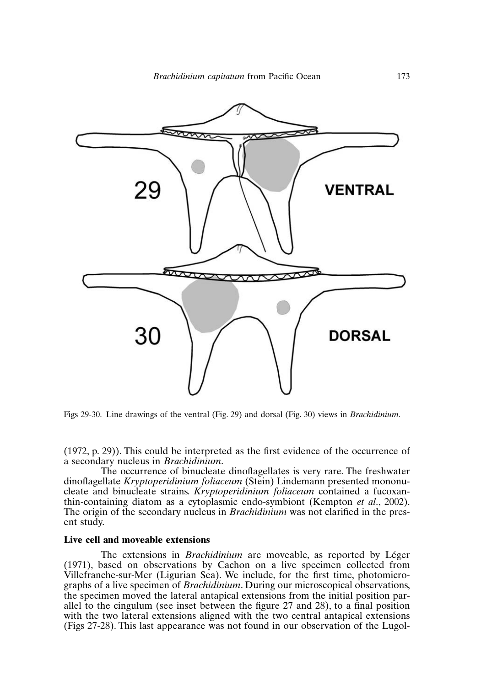

Figs 29-30. Line drawings of the ventral (Fig. 29) and dorsal (Fig. 30) views in *Brachidinium*.

Figs 29-30. Line drawings of the ventral (Fig. 29) and dorsal (Fig. 30) views in *Brachidinium.*<br>(1972. p. 29)). This could be interpreted as the first evidence of the occurrence of  $\alpha$  secondary nucleus in *Brachidinium*.

*Kryptoperidinium.*<br>
Indinium.<br>
Indemnation of the freshwater<br> *Kryptoperidinium foliaceum* contained a fucoxan-<br> *Kryptoperidinium foliaceum* contained a fucoxanthe occurrence of binucleate dinoflagellates is very rare. The freshwater thin-containing diatom as a cytoplasmic endo-symbiont (Kempton *et al.*, 2002). dinoflagellate *Kryptoperidinium foliaceum* (Stein) Lindemann presented mononu-<br>cleate and binucleate strains. *Kryptoperidinium foliaceum* contained a fucoxan-<br>thin-containing diatom as a cytoplasmic endo-symbiont (Kempto cleate and binucleate strains. *Kryptoperidinium foliaceum* contained a fucoxanent study. The origin of the secondary nucleus in *Brachidinium* was not clarified in the pres-The extensions in *Brachidinium*ent study.<br> **Live cell and moveable extensions**<br>
The extensions in *Brachidinium* are moveable, as reported by Léger (1971), based on observations by Cachon on a live specimen collected from

#### Live cell and moveable extensions

mium are moveable, as reported by Léger<br>Cachon on a live specimen collected from<br>We include, for the first time, photomicroextending the two lateral extensions, we increase, the two central processings are two central and antapical extensions,  $(1971)$  hased on observations by Cachon on a live specimen collected from Villefranche-sur-Mer (Ligurian Sea), We include, for the first time, photomicroallel to the cingulum (see inset between the figure 27 and 28), to a final position with the two lateral extensions aligned with the two central antapical extensions (Figs 27-28). This last appearance was not found in our observation of the Lugol-<br>(Figs 27-28). This last appearance was not found in our observation of the Lugol-<br>(Figs 27-28). This last appearance was not found in our ob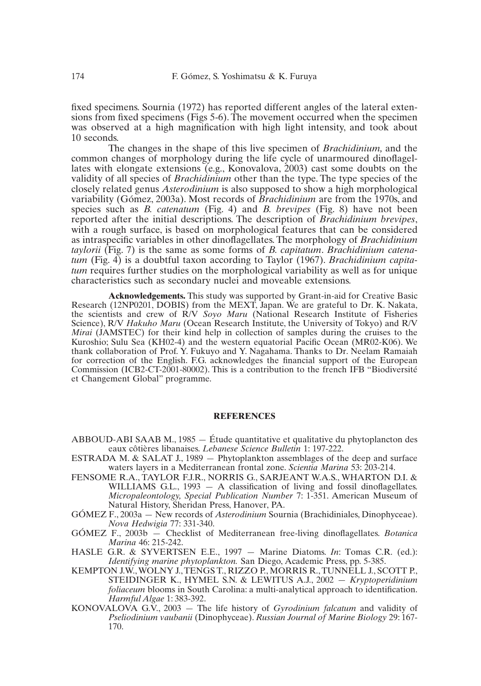If the changes in the shape of this live speciment occurred when the specimen erved at a high magnification with high light intensity, and took about ds.<br>The changes in the shape of this live specimen of *Brachidinium*, an common changes of morphology during the life common contract more of prominent and contract of the life cycle of unarmoured dinoflagelfixed specimens. Sournia (1972) has reported different angles of the lateral exten-10 seconds.

Frame lige ager increase, and the serves of<br>f this live specimen of *Brachidinium*, and the<br>iring the life cycle of unarmoured dinoflagel-<br>Konovalova, 2003) cast some doubts on the The changes in the shape of this live specimen of *Brachidinium*, and the this live specimen of *Brachidinium*, and the<br>ing the life cycle of unarmoured dinoflagel-<br>Konovalova, 2003) cast some doubts on the<br>other than the type. The type species of the common changes of morphology during the life cycle of unarmoured dinoflagel-<br>lates with elongate extensions (e.g., Konovalova, 2003) cast some doubts on the<br>validity of all species of *Brachidinium* other than the type. Th variability of all species of *Brachidinium* other than the type. The type species of the validity of all species of *Brachidinium* other than the type. The type species of the closely related genus *Asterodinium* is also validity of all species of *Brachidinium* other than the type. The type species of the closely related genus *Asterodinium* is also supposed to show a high morphological variability (Gómez, 2003a). Most records of *Brachid* closely related genus *Asterodinium* is also supposed to show a high morphological reported after the initial descriptions. The description of *Brachidinium brevipes*, variability (Gómez, 2003a). Most records of *Brachidinium* are from the 1970s, and with a rough surface, is based on morphological features that can be considered species such as  $B$ . *catenatum* (Fig. 4) and  $B$ . *brevipes* (Fig. 8) have not been *capitalistic Checkidinium brevipes,*<br> **catures that can be considered**<br> **capitatum.** *Brachidinium catena-*(Fig. 4) is a doubtful taxon according to Taylor (1967). *Brachidinium* capital traspectific variables in other dinoflagellates. The morphology of *Brachidinium* orii (Fig. 7) is the same as some forms of *B. capitatum. Br tum* a registration of the morphological variables on the morphology of *Brachidinium*<br>*taylorii* (Fig. 7) is the same as some forms of *B. capitatum. Brachidinium catena-*<br>*tum* (Fig. 4) is a doubtful taxon according to taylorii (Fig. 7) is the same as some forms of  $B$ . capitatum. Brachidinium catenahtm requires further studies on the morphological variability as we<br>characteristics such as secondary nuclei and moveable extensions. tum (Fig. 4) is a doubtful taxon according to Taylor (1967). *Brachidinium capitatum* requires further studies on the morphological variability as well as for unique Son the morphological variability as well as for unique<br>on the morphological variability as well as for unique<br>mdary nuclei and moveable extensions.<br>This study was supported by Grant-in-aid for Creative Basic characteristics such as second

Variability as well as for unique<br>able extensions.<br>by Grant-in-aid for Creative Basic<br>We are grateful to Dr. K. Nakata. *Soyo Maru* (National Research Institute of Fisheries on the MEXT, Japan. We are grateful to Dr. K. Nakata, *Soyo Maru* (National Research Institute of Fisheries **Acknowledgements.** This study was supported by Grant-in-aid for Creative Basic<br>Research (12NP0201, DOBIS) from the MEXT, Japan. We are grateful to Dr. K. Nakata,<br>the scientists and crew of R/V *Soyo Maru* (National Resear Research (12NP0201, DOBIS) from the MEXT, Japan. We are grateful to Dr. K. Nakata, arch (12NP0201, DOBIS) from the MEXT, Japan. We are grateful to Dr. K. Nakata, cientists and crew of R/V *Soyo Maru* (National Research Institute of Fisheries ce), R/V *Hakuho Maru* (Ocean Research Institute, the Universit the scientists and crew of R/V Soyo Maru (National Research Institute of Fisheries ries<br>R/V<br>the<br>We Science), R/V Hakuho Maru (Ocean Research Institute, the University of Tokyo) and R/V Mirai (JAMSTEC) for their kind help in collection of samples during the cruises to the Kuroshio; Sulu Sea (KH02-4) and the western equat *Mirai* (JAMSTEC) for their kind help in collection of samples during the cruises to the ind help in collection of samples during the cruises to the<br>and the western equatorial Pacific Ocean (MR02-K06). We<br>Fukuyo and Y. Nagahama. Thanks to Dr. Neelam Ramaiah<br>EG. acknowledges the financial support of the Europea Kuroshio; Sulu Sea (KH02-4) and the western equatorial Pacific Ocean (MR02-K06). We The western equatorial Pacific Ocean (MR02-K06). We<br>yo and Y. Nagahama. Thanks to Dr. Neelam Ramaiah<br>acknowledges the financial support of the European<br>This is a contribution to the french IFB "Biodiversité  $\frac{1}{2}$  from  $\frac{1}{2}$  programme. The Change of Prof. Y. Fukur et Changement Global" programme.

### $\mathbf{A}$

- **REFERENCES**<br>
 Étude quantitative et qualitative du<br> *Lebanese Science Bulletin* 1: 197-222. D-ABI SAAB M., 1985 – Étude quantitative et qualitative du phytoplancto<br>eaux côtières libanaises. *Lebanese Science Bulletin* 1: 197-222.<br>A M. & SALAT J., 1989 – Phytoplankton assemblages of the deep and s<br>waters lavers in eaux côtières libanaises. Lebanese Science Bulletin 1: 197-222.
- The Steven Science Bulletin 1: 197-222.<br>
SALAT J., 1989 Phytoplankton assemblages of the deep and surface<br>
sayers in a Mediterranean frontal zone. *Scientia Marina* 53: 203-214.<br>
TAYLOR F.J.R., NORRIS G., SARJEANT W.A.S. A M. & SALAT J., 1989 — Phytoplankton assemblages of the deep and surface<br>waters layers in a Mediterranean frontal zone. *Scientia Marina* 53: 203-214.<br>IE R.A., TAYLOR F.J.R., NORRIS G., SARJEANT W.A.S., WHARTON D.I. &<br>WIL waters layers in a Mediterranean frontal zone. Scientia Marina 53: 203-214.
- cientia Marina 53: 203-214.<br>NNT W.A.S., WHARTON D.I. &<br>living and fossil dinoflagellates.<br>7: 1-351. American Museum of **ERA TAYLOR FIR NORRIS G SARIL** Natural History, Sheridan Press, Hanover, PA. WILLIAMS G.L., 1993 – A classification of living and fossil dinoflagellates.<br> *Micropaleontology*, *Special Publication Number 7*: 1-351. American Museum of<br>
Natural History, Sheridan Press, Hanover, PA.<br>
GÓMEZ F. 2003a – *Micropaleontology, Special*<br>
Natural History, Sheridan P<br>
F., 2003a — New records of<br>*Nova Hedwigia* 77: 331-340.
- *Botanica F.*, 2003a – New re<br>*Nova Hedwigia 77:*<br>*F.*, 2003b – Chec<br>*Marina* 46: 215-242. Nova Hedwigia 77: 331-340.
- *Inoflagellates. Botanica*<br>*In:* Tomas C.R. (ed.): *F., 2003b – Checklist of Medi* terranean free-living dinoflagellates.<br>
7 – Marine Diatoms. *In*: Tomas C.I<br>
San Diego, Academic Press, pp. 5-385. Marina 46: 215-242.
- G.R. & SYVERTSEN E.E., 1997 Marine Diatoms. *In*: Tomas C.R. (ed.):<br>*Identifying marine phytoplankton*. San Diego, Academic Press, pp. 5-385.<br>DN J.W., WOLNY J., TENGS T., RIZZO P., MORRIS R., TUNNELL J., SCOTT P.,<br>STEIDI *Identifying marine phytoplankton*. San Diego, Academic Press, pp. 5-385.
- g marine phytoplankton. San Diego, Academic Press, pp. 5-385.<br>
VOLNY J., TENGS T., RIZZO P., MORRIS R., TUNNELL J., SCOTT P.,<br>
GER K., HYMEL S.N. & LEWITUS A.J., 2002 *Kryptoperidinium*<br>
blooms in South Carolina: a multi *N J.W., WOLNY J., TENG*<br>STEIDINGER K., HYM<br>*foliaceum blooms in Soutl<br>Harmful Algae 1: 383-392.* STEIDINGER K., HYMEL S.N. & LEWITUS A.J.,  $2002 - Kryptoperidinium$ <br>foliaceum blooms in South Carolina: a multi-analytical approach to identification.<br>*Harmful Algae* 1:383-392.<br>KONOVALOVA G.V., 2003 – The life history of *Gyrodinium Poliaceum* blooms in South Carolina: a multi-analytical approach to identification. Harmful Algae 1:383-392.
- KONOVALOVA G.V., 2003 The life history of *Gyrodinium falcatum* and validity of *Pseliodinium vaubanii* (Dinophyceae). *Russian Journal of Marine Biology* 29:167-170.